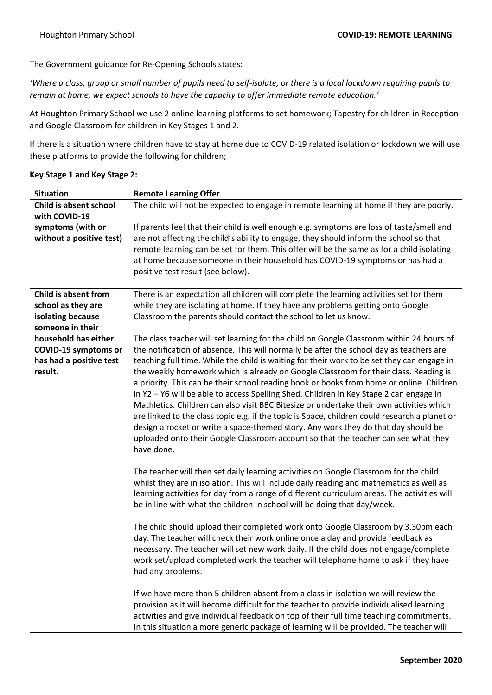The Government guidance for Re-Opening Schools states:

*'Where a class, group or small number of pupils need to self-isolate, or there is a local lockdown requiring pupils to remain at home, we expect schools to have the capacity to offer immediate remote education.'*

At Houghton Primary School we use 2 online learning platforms to set homework; Tapestry for children in Reception and Google Classroom for children in Key Stages 1 and 2.

If there is a situation where children have to stay at home due to COVID-19 related isolation or lockdown we will use these platforms to provide the following for children;

| <b>Situation</b>                        | <b>Remote Learning Offer</b>                                                                  |
|-----------------------------------------|-----------------------------------------------------------------------------------------------|
| Child is absent school<br>with COVID-19 | The child will not be expected to engage in remote learning at home if they are poorly.       |
| symptoms (with or                       | If parents feel that their child is well enough e.g. symptoms are loss of taste/smell and     |
| without a positive test)                | are not affecting the child's ability to engage, they should inform the school so that        |
|                                         | remote learning can be set for them. This offer will be the same as for a child isolating     |
|                                         | at home because someone in their household has COVID-19 symptoms or has had a                 |
|                                         | positive test result (see below).                                                             |
|                                         |                                                                                               |
| Child is absent from                    | There is an expectation all children will complete the learning activities set for them       |
| school as they are                      | while they are isolating at home. If they have any problems getting onto Google               |
| isolating because                       | Classroom the parents should contact the school to let us know.                               |
| someone in their                        |                                                                                               |
| household has either                    | The class teacher will set learning for the child on Google Classroom within 24 hours of      |
| <b>COVID-19 symptoms or</b>             | the notification of absence. This will normally be after the school day as teachers are       |
| has had a positive test                 | teaching full time. While the child is waiting for their work to be set they can engage in    |
| result.                                 | the weekly homework which is already on Google Classroom for their class. Reading is          |
|                                         | a priority. This can be their school reading book or books from home or online. Children      |
|                                         | in Y2 - Y6 will be able to access Spelling Shed. Children in Key Stage 2 can engage in        |
|                                         | Mathletics. Children can also visit BBC Bitesize or undertake their own activities which      |
|                                         | are linked to the class topic e.g. if the topic is Space, children could research a planet or |
|                                         | design a rocket or write a space-themed story. Any work they do that day should be            |
|                                         | uploaded onto their Google Classroom account so that the teacher can see what they            |
|                                         | have done.                                                                                    |
|                                         | The teacher will then set daily learning activities on Google Classroom for the child         |
|                                         | whilst they are in isolation. This will include daily reading and mathematics as well as      |
|                                         | learning activities for day from a range of different curriculum areas. The activities will   |
|                                         | be in line with what the children in school will be doing that day/week.                      |
|                                         |                                                                                               |
|                                         | The child should upload their completed work onto Google Classroom by 3.30pm each             |
|                                         | day. The teacher will check their work online once a day and provide feedback as              |
|                                         | necessary. The teacher will set new work daily. If the child does not engage/complete         |
|                                         | work set/upload completed work the teacher will telephone home to ask if they have            |
|                                         | had any problems.                                                                             |
|                                         |                                                                                               |
|                                         | If we have more than 5 children absent from a class in isolation we will review the           |
|                                         | provision as it will become difficult for the teacher to provide individualised learning      |
|                                         | activities and give individual feedback on top of their full time teaching commitments.       |
|                                         | In this situation a more generic package of learning will be provided. The teacher will       |

## **Key Stage 1 and Key Stage 2:**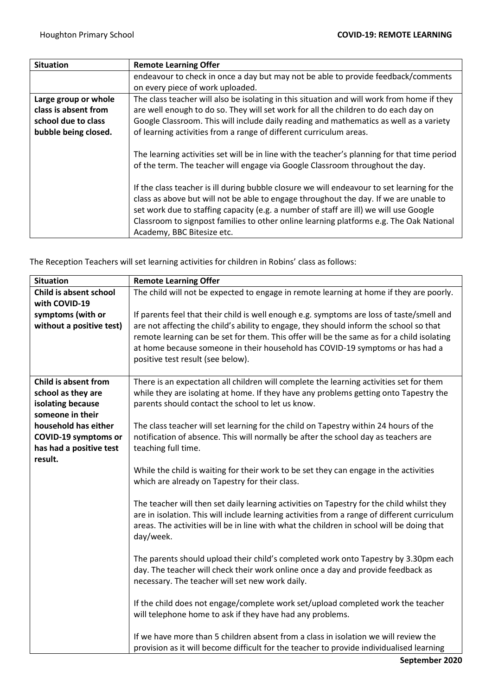| <b>Situation</b>     | <b>Remote Learning Offer</b>                                                                                                                                                                                                                                                                                                                                                                           |
|----------------------|--------------------------------------------------------------------------------------------------------------------------------------------------------------------------------------------------------------------------------------------------------------------------------------------------------------------------------------------------------------------------------------------------------|
|                      | endeavour to check in once a day but may not be able to provide feedback/comments                                                                                                                                                                                                                                                                                                                      |
|                      | on every piece of work uploaded.                                                                                                                                                                                                                                                                                                                                                                       |
| Large group or whole | The class teacher will also be isolating in this situation and will work from home if they                                                                                                                                                                                                                                                                                                             |
| class is absent from | are well enough to do so. They will set work for all the children to do each day on                                                                                                                                                                                                                                                                                                                    |
| school due to class  | Google Classroom. This will include daily reading and mathematics as well as a variety                                                                                                                                                                                                                                                                                                                 |
| bubble being closed. | of learning activities from a range of different curriculum areas.                                                                                                                                                                                                                                                                                                                                     |
|                      | The learning activities set will be in line with the teacher's planning for that time period<br>of the term. The teacher will engage via Google Classroom throughout the day.                                                                                                                                                                                                                          |
|                      | If the class teacher is ill during bubble closure we will endeavour to set learning for the<br>class as above but will not be able to engage throughout the day. If we are unable to<br>set work due to staffing capacity (e.g. a number of staff are ill) we will use Google<br>Classroom to signpost families to other online learning platforms e.g. The Oak National<br>Academy, BBC Bitesize etc. |

The Reception Teachers will set learning activities for children in Robins' class as follows:

| <b>Situation</b>                        | <b>Remote Learning Offer</b>                                                                                                               |
|-----------------------------------------|--------------------------------------------------------------------------------------------------------------------------------------------|
| Child is absent school                  | The child will not be expected to engage in remote learning at home if they are poorly.                                                    |
| with COVID-19                           |                                                                                                                                            |
| symptoms (with or                       | If parents feel that their child is well enough e.g. symptoms are loss of taste/smell and                                                  |
| without a positive test)                | are not affecting the child's ability to engage, they should inform the school so that                                                     |
|                                         | remote learning can be set for them. This offer will be the same as for a child isolating                                                  |
|                                         | at home because someone in their household has COVID-19 symptoms or has had a                                                              |
|                                         | positive test result (see below).                                                                                                          |
|                                         |                                                                                                                                            |
| Child is absent from                    | There is an expectation all children will complete the learning activities set for them                                                    |
| school as they are<br>isolating because | while they are isolating at home. If they have any problems getting onto Tapestry the<br>parents should contact the school to let us know. |
| someone in their                        |                                                                                                                                            |
| household has either                    | The class teacher will set learning for the child on Tapestry within 24 hours of the                                                       |
| <b>COVID-19 symptoms or</b>             | notification of absence. This will normally be after the school day as teachers are                                                        |
| has had a positive test                 | teaching full time.                                                                                                                        |
| result.                                 |                                                                                                                                            |
|                                         | While the child is waiting for their work to be set they can engage in the activities                                                      |
|                                         | which are already on Tapestry for their class.                                                                                             |
|                                         |                                                                                                                                            |
|                                         | The teacher will then set daily learning activities on Tapestry for the child whilst they                                                  |
|                                         | are in isolation. This will include learning activities from a range of different curriculum                                               |
|                                         | areas. The activities will be in line with what the children in school will be doing that                                                  |
|                                         | day/week.                                                                                                                                  |
|                                         |                                                                                                                                            |
|                                         | The parents should upload their child's completed work onto Tapestry by 3.30pm each                                                        |
|                                         | day. The teacher will check their work online once a day and provide feedback as                                                           |
|                                         | necessary. The teacher will set new work daily.                                                                                            |
|                                         | If the child does not engage/complete work set/upload completed work the teacher                                                           |
|                                         | will telephone home to ask if they have had any problems.                                                                                  |
|                                         |                                                                                                                                            |
|                                         | If we have more than 5 children absent from a class in isolation we will review the                                                        |
|                                         | provision as it will become difficult for the teacher to provide individualised learning                                                   |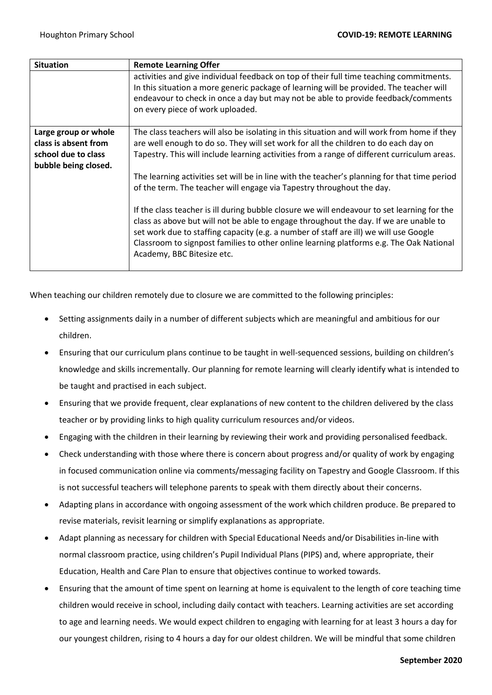| <b>Situation</b>                                                                            | <b>Remote Learning Offer</b>                                                                                                                                                                                                                                                                                                                                                                           |
|---------------------------------------------------------------------------------------------|--------------------------------------------------------------------------------------------------------------------------------------------------------------------------------------------------------------------------------------------------------------------------------------------------------------------------------------------------------------------------------------------------------|
|                                                                                             | activities and give individual feedback on top of their full time teaching commitments.<br>In this situation a more generic package of learning will be provided. The teacher will<br>endeavour to check in once a day but may not be able to provide feedback/comments<br>on every piece of work uploaded.                                                                                            |
| Large group or whole<br>class is absent from<br>school due to class<br>bubble being closed. | The class teachers will also be isolating in this situation and will work from home if they<br>are well enough to do so. They will set work for all the children to do each day on<br>Tapestry. This will include learning activities from a range of different curriculum areas.                                                                                                                      |
|                                                                                             | The learning activities set will be in line with the teacher's planning for that time period<br>of the term. The teacher will engage via Tapestry throughout the day.                                                                                                                                                                                                                                  |
|                                                                                             | If the class teacher is ill during bubble closure we will endeavour to set learning for the<br>class as above but will not be able to engage throughout the day. If we are unable to<br>set work due to staffing capacity (e.g. a number of staff are ill) we will use Google<br>Classroom to signpost families to other online learning platforms e.g. The Oak National<br>Academy, BBC Bitesize etc. |

When teaching our children remotely due to closure we are committed to the following principles:

- Setting assignments daily in a number of different subjects which are meaningful and ambitious for our children.
- Ensuring that our curriculum plans continue to be taught in well-sequenced sessions, building on children's knowledge and skills incrementally. Our planning for remote learning will clearly identify what is intended to be taught and practised in each subject.
- Ensuring that we provide frequent, clear explanations of new content to the children delivered by the class teacher or by providing links to high quality curriculum resources and/or videos.
- Engaging with the children in their learning by reviewing their work and providing personalised feedback.
- Check understanding with those where there is concern about progress and/or quality of work by engaging in focused communication online via comments/messaging facility on Tapestry and Google Classroom. If this is not successful teachers will telephone parents to speak with them directly about their concerns.
- Adapting plans in accordance with ongoing assessment of the work which children produce. Be prepared to revise materials, revisit learning or simplify explanations as appropriate.
- Adapt planning as necessary for children with Special Educational Needs and/or Disabilities in-line with normal classroom practice, using children's Pupil Individual Plans (PIPS) and, where appropriate, their Education, Health and Care Plan to ensure that objectives continue to worked towards.
- Ensuring that the amount of time spent on learning at home is equivalent to the length of core teaching time children would receive in school, including daily contact with teachers. Learning activities are set according to age and learning needs. We would expect children to engaging with learning for at least 3 hours a day for our youngest children, rising to 4 hours a day for our oldest children. We will be mindful that some children